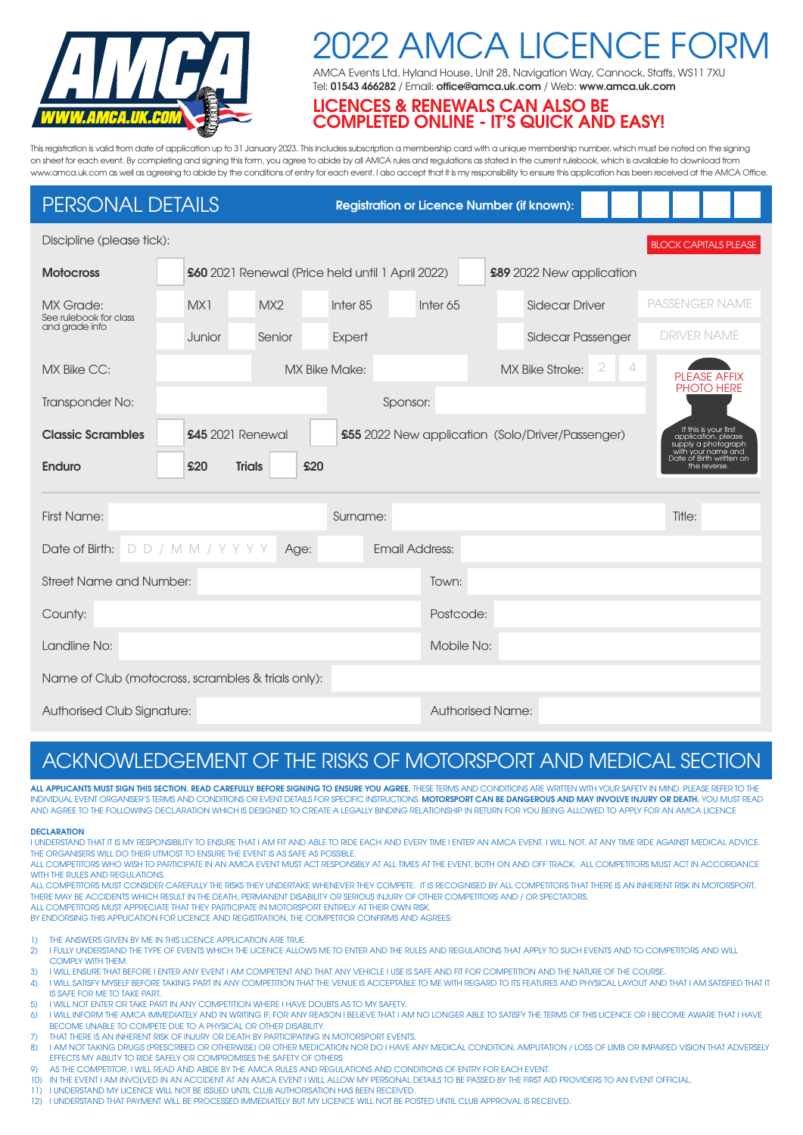

# 122 AMCA LICENCE FO

AMCA Events Ltd, Hyland House, Unit 28, Navigation Way, Cannock, Staffs, WS11 7XU Tel: **01543 466282** / Email: **office@amca.uk.com** / Web: **www.amca.uk.com**

### **LICENCES & RENEWALS CAN ALSO BE COMPLETED ONLINE - IT'S QUICK AND EASY!**

This registration is valid from date of application up to 31 January 2023. This includes subscription a membership card with a unique membership number, which must be noted on the signing on sheet for each event. By completing and signing this form, you agree to abide by all AMCA rules and regulations as stated in the current rulebook, which is available to download from www.amca.uk.com as well as agreeing to abide by the conditions of entry for each event. I also accept that it is my responsibility to ensure this application has been received at the AMCA Office.

## PERSONAL DETAILS

**Registration or Licence Number (if known):**

| Discipline (please tick):<br><b>BLOCK CAPITALS PLEASE</b>                                                                                                                      |        |                                                                              |                      |                     |                         |                                                                |  |  |
|--------------------------------------------------------------------------------------------------------------------------------------------------------------------------------|--------|------------------------------------------------------------------------------|----------------------|---------------------|-------------------------|----------------------------------------------------------------|--|--|
| <b>Motocross</b>                                                                                                                                                               |        | £60 2021 Renewal (Price held until 1 April 2022)<br>£89 2022 New application |                      |                     |                         |                                                                |  |  |
| <b>MX Grade:</b><br>See rulebook for class<br>and grade info                                                                                                                   | MX1    | MX2                                                                          | Inter <sub>85</sub>  | Inter <sub>65</sub> | <b>Sidecar Driver</b>   | <b>PASSENGER NAME</b>                                          |  |  |
|                                                                                                                                                                                | Junior | Senior                                                                       | Expert               |                     | Sidecar Passenger       | <b>DRIVER NAME</b>                                             |  |  |
| <b>MX Bike CC:</b>                                                                                                                                                             |        |                                                                              | <b>MX Bike Make:</b> |                     | <b>MX Bike Stroke:</b>  | 2<br>4<br><b>PLEASE AFFIX</b>                                  |  |  |
| Transponder No:                                                                                                                                                                |        |                                                                              |                      | Sponsor:            |                         | <b>PHOTO HERE</b>                                              |  |  |
| If this is your first<br><b>Classic Scrambles</b><br><b>£45</b> 2021 Renewal<br>£55 2022 New application (Solo/Driver/Passenger)<br>application, please<br>supply a photograph |        |                                                                              |                      |                     |                         |                                                                |  |  |
| <b>Enduro</b>                                                                                                                                                                  | £20    | <b>Trials</b>                                                                | £20                  |                     |                         | with your name and<br>Date of Birth written on<br>the reverse. |  |  |
| <b>First Name:</b>                                                                                                                                                             |        |                                                                              | Surname:             |                     |                         | Title:                                                         |  |  |
| <b>Email Address:</b><br>$DD / MM / Y Y Y Y$<br>Date of Birth:<br>Age:                                                                                                         |        |                                                                              |                      |                     |                         |                                                                |  |  |
| <b>Street Name and Number:</b>                                                                                                                                                 |        |                                                                              |                      |                     |                         |                                                                |  |  |
| County:                                                                                                                                                                        |        |                                                                              |                      |                     | Postcode:               |                                                                |  |  |
| Landline No:                                                                                                                                                                   |        |                                                                              |                      |                     | Mobile No:              |                                                                |  |  |
| Name of Club (motocross, scrambles & trials only):                                                                                                                             |        |                                                                              |                      |                     |                         |                                                                |  |  |
| Authorised Club Signature:                                                                                                                                                     |        |                                                                              |                      |                     | <b>Authorised Name:</b> |                                                                |  |  |

# ACKNOWLEDGEMENT OF THE RISKS OF MOTORSPORT AND MEDICAL SECTION

ALL APPLICANTS MUST SIGN THIS SECTION. READ CAREFULLY BEFORE SIGNING TO ENSURE YOU AGREE. THESE TERMS AND CONDITIONS ARE WRITTEN WITH YOUR SAFETY IN MIND. PLEASE REFER TO THE INDIVIDUAL EVENT ORGANISER'S TERMS AND CONDITIONS OR EVENT DETAILS FOR SPECIFIC INSTRUCTIONS. **MOTORSPORT CAN BE DANGEROUS AND MAY INVOLVE INJURY OR DEATH.** YOU MUST READ AND AGREE TO THE FOLLOWING DECLARATION WHICH IS DESIGNED TO CREATE A LEGALLY BINDING RELATIONSHIP IN RETURN FOR YOU BEING ALLOWED TO APPLY FOR AN AMCA LICENCE

#### **DECLARATION**

I UNDERSTAND THAT IT IS MY RESPONSIBILITY TO ENSURE THAT I AM FIT AND ABLE TO RIDE EACH AND EVERY TIME I ENTER AN AMCA EVENT. I WILL NOT, AT ANY TIME RIDE AGAINST MEDICAL ADVICE. THE ORGANISERS WILL DO THEIR UTMOST TO ENSURE THE EVENT IS AS SAFE AS POSSIBLE.

ALL COMPETITORS WHO WISH TO PARTICIPATE IN AN AMCA EVENT MUST ACT RESPONSIBLY AT ALL TIMES AT THE EVENT, BOTH ON AND OFF TRACK. ALL COMPETITORS MUST ACT IN ACCORDANCE WITH THE RULES AND REGULATIONS.

ALL COMPETITORS MUST CONSIDER CAREFULLY THE RISKS THEY UNDERTAKE WHENEVER THEY COMPETE. IT IS RECOGNISED BY ALL COMPETITORS THAT THERE IS AN INHERENT RISK IN MOTORSPORT. THERE MAY BE ACCIDENTS WHICH RESULT IN THE DEATH, PERMANENT DISABILITY OR SERIOUS INJURY OF OTHER COMPETITORS AND / OR SPECTATORS.

ALL COMPETITORS MUST APPRECIATE THAT THEY PARTICIPATE IN MOTORSPORT ENTIRELY AT THEIR OWN RISK. BY ENDORSING THIS APPLICATION FOR LICENCE AND REGISTRATION, THE COMPETITOR CONFIRMS AND AGREES:

1) THE ANSWERS GIVEN BY ME IN THIS LICENCE APPLICATION ARE TRUE.

- 2) I FULLY UNDERSTAND THE TYPE OF EVENTS WHICH THE LICENCE ALLOWS ME TO ENTER AND THE RULES AND REGULATIONS THAT APPLY TO SUCH EVENTS AND TO COMPETITORS AND WILL COMPLY WITH THEM
- 3) I WILL ENSURE THAT BEFORE I ENTER ANY EVENT I AM COMPETENT AND THAT ANY VEHICLE I USE IS SAFE AND FIT FOR COMPETITION AND THE NATURE OF THE COURSE.
- 4) I WILL SATISFY MYSELF BEFORE TAKING PART IN ANY COMPETITION THAT THE VENUE IS ACCEPTABLE TO ME WITH REGARD TO ITS FEATURES AND PHYSICAL LAYOUT AND THAT I AM SATISFIED THAT IT IS SAFE FOR ME TO TAKE PART.
- 5) I WILL NOT ENTER OR TAKE PART IN ANY COMPETITION WHERE I HAVE DOUBTS AS TO MY SAFETY.
- 6) I WILL INFORM THE AMCA IMMEDIATELY AND IN WRITING IF, FOR ANY REASON I BELIEVE THAT I AM NO LONGER ABLE TO SATISFY THE TERMS OF THIS LICENCE OR I BECOME AWARE THAT I HAVE BECOME UNABLE TO COMPETE DUE TO A PHYSICAL OR OTHER DISABILITY.
- 7) THAT THERE IS AN INHERENT RISK OF INJURY OR DEATH BY PARTICIPATING IN MOTORSPORT EVENTS. 8) I AM NOT TAKING DRUGS (PRESCRIBED OR OTHERWISE) OR OTHER MEDICATION NOR DO I HAVE ANY MEDICAL CONDITION, AMPUTATION / LOSS OF LIMB OR IMPAIRED VISION THAT ADVERSELY EFFECTS MY ABILITY TO RIDE SAFELY OR COMPROMISES THE SAFETY OF OTHERS
- 9) AS THE COMPETITOR, I WILL READ AND ABIDE BY THE AMCA RULES AND REGULATIONS AND CONDITIONS OF ENTRY FOR EACH EVENT.
- 10) IN THE EVENT I AM INVOLVED IN AN ACCIDENT AT AN AMCA EVENT I WILL ALLOW MY PERSONAL DETAILS TO BE PASSED BY THE FIRST AID PROVIDERS TO AN EVENT OFFICIAL.
- 11) I UNDERSTAND MY LICENCE WILL NOT BE ISSUED UNTIL CLUB AUTHORISATION HAS BEEN RECEIVED.
- 12) I UNDERSTAND THAT PAYMENT WILL BE PROCESSED IMMEDIATELY BUT MY LICENCE WILL NOT BE POSTED UNTIL CLUB APPROVAL IS RECEIVED.